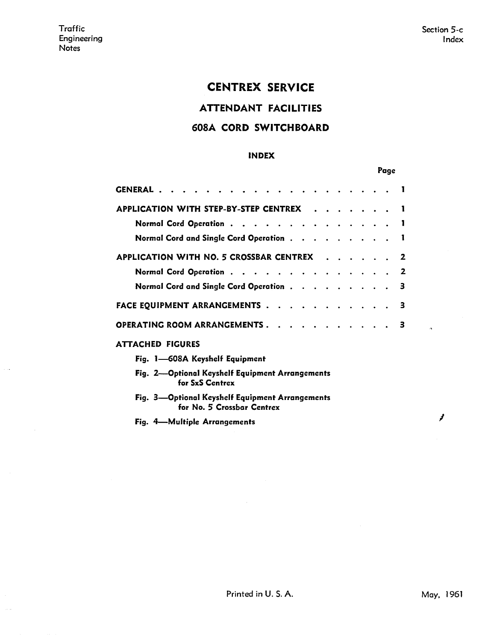## CENTREX SERVICE

ATTENDANT FACILITIES

#### **608A CORD SWITCHBOARD**

#### **INDEX**

#### Page

| GENERAL                                                                       |   |
|-------------------------------------------------------------------------------|---|
| APPLICATION WITH STEP-BY-STEP CENTREX                                         |   |
| Normal Cord Operation 1                                                       |   |
| Normal Cord and Single Cord Operation                                         |   |
| APPLICATION WITH NO. 5 CROSSBAR CENTREX 2                                     |   |
| Normal Cord Operation                                                         | 2 |
| Normal Cord and Single Cord Operation                                         | з |
| FACE EQUIPMENT ARRANGEMENTS                                                   | 3 |
| OPERATING ROOM ARRANGEMENTS<br>- 3                                            |   |
| <b>ATTACHED FIGURES</b>                                                       |   |
| Fig. 1—608A Keyshelf Equipment                                                |   |
| Fig. 2-Optional Keyshelf Equipment Arrangements<br>for SxS Centrex            |   |
| Fig. 3—Optional Keyshelf Equipment Arrangements<br>for No. 5 Crossbar Centrex |   |
| Fig. 4-Multiple Arrangements                                                  |   |

*I*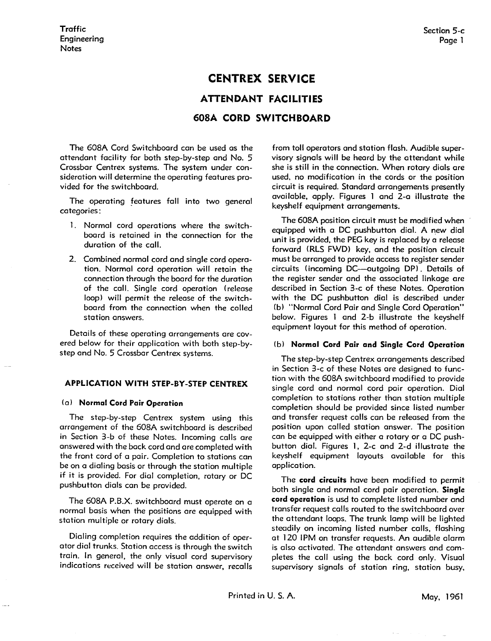# **CENTREX SERVICE ATTENDANT FACILITIES 608A CORD SWITCHBOARD**

The 608A Cord Switchboard can be used as the attendant facility for both step-by-step and No. 5 Crossbar Centrex systems. The system under consideration will determine the operating features provided for the switchboard.

The operating features fall into two general categories:

- 1. Normal cord operations where the switchboard is retained in the connection for the duration of the call.
- 2. Combined normal cord and single cord operation. Normal cord operation will retain the connection through the board for the duration of the call. Single cord operation (release loop) will permit the release of the switchboard from the connection when the called station answers.

Details of these operating arrangements are covered below for their application with both step-bystep and No. 5 Crossbar Centrex systems.

#### **APPLICATION WITH STEP-BY-STEP CENTREX**

#### (a) **Normal Cord Pair Operation**

The step-by-step Centrex system using this arrangement of the 608A switchboard is described in Section 3-b of these Notes. Incoming calls ore answered with the bock cord and ore completed with the front cord of a pair. Completion to stations can be on a dialing basis or through the station multiple if it is provided. For dial completion, rotary or DC pushbutton dials con be provided.

The 608A P.B.X. switchboard must operate on a normal basis when the positions are equipped with station multiple or rotary dials.

Dialing completion requires the addition of operator dial trunks. Station access is through the switch train. In general, the only visual cord supervisory indications received will be station answer, recalls from toll operators and station flash. Audible supervisory signals will be heard by the attendant while she is still in the connection. When rotary dials are used, no modification in the cords or the position circuit is required. Standard arrangements presently available, apply. Figures 1 and 2-a illustrate the keyshelf equipment arrangements.

The 608A position circuit must be modified when equipped with a DC pushbutton dial. A new dial unit is provided, the PEG key is replaced by a release forward (RLS FWD) key, and the position circuit must be arranged to provide access to register sender circuits (incoming DC--outgoing DP). Details of the register sender and the associated linkage are described in Section 3-c of these Notes. Operation with the DC pushbutton dial is described under (b) "Normal Cord Pair and Single Cord Operation" below. Figures 1 and 2-b illustrate the keyshelf equipment layout for this method of operation.

#### ( b) **Normal Cord Pair and Single Cord Operation**

The step-by-step Centrex arrangements described in Section 3-c of these Notes ore designed to function with the 608A switchboard modified to provide single cord and normal cord pair operation. Dial completion to stations rather than station multiple completion should be provided since listed number and transfer request calls con be released from the position upon called station answer. The position can be equipped with either a rotary or a DC pushbutton dial. Figures l, 2-c and 2-d illustrate the keyshelf equipment layouts available for this application.

The **cord circuits** hove been modified to permit both single and normal cord pair operation. **Single cord operation** is usd to complete listed number and transfer request coils routed to the switchboard over the attendant loops. The trunk lamp will be lighted steadily on incoming listed number calls, flashing at 120 1PM on transfer requests. An audible alarm is also activated. The attendant answers and completes the coll using the bock cord only. Visual supervisory signals of station ring, station busy,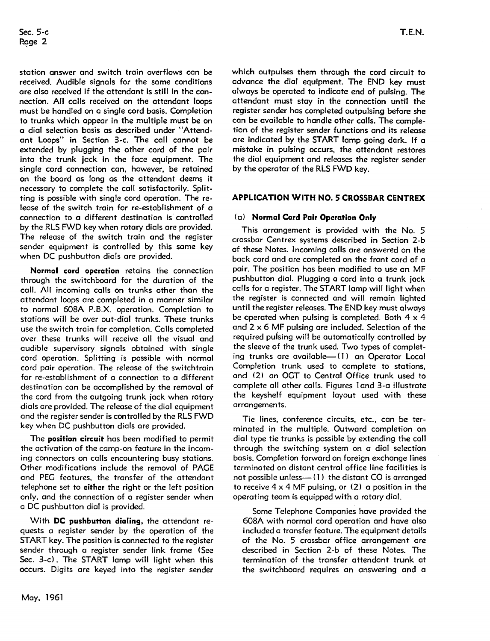station answer and switch train overflows can be received. Audible signals for the same conditions are also received if the attendant is still in the connection. All calls received on the attendant loops must be handled on a single cord basis. Completion to trunks which appear in the multiple must be on a dial selection basis as described under "Attendant Loops" in Section 3-c. The call cannot be extended by plugging the other cord of the pair into the trunk jack in the face equipment. The single cord connection can, however, be retained on the board as long as the attendant deems it necessary to complete the call satisfactorily. Splitting is possible with single cord operation. The release of the switch train for re-establishment of a connection to a different destination is controlled by the RLS FWD key when rotary dials are provided. The release of the switch train and the register sender equipment is controlled by this same key when DC pushbutton dials are provided.

**Normal cord operation** retains the connection through the switchboard for the duration of the call. All incoming calls on trunks other than the attendant loops are completed in a manner similar to normal 608A P.B.X. operation. Completion to stations will be over out-dial trunks. These trunks use the switch train for completion. Calls completed over these trunks will receive all the visual and audible supervisory signals obtained with single cord operation. Splitting is possible with normal cord pair operation. The release of the switchtrain for re-establishment of a connection to a different destination can be accomplished by the removal of the cord from the outgoing trunk jack when rotary dials are provided. The release of the dial equipment and the register sender is controlled by the RLS FWD key when DC pushbutton dials are provided.

The **position circuit** has been modified to permit the activation of the camp-on feature in the incoming connectors on calls encountering busy stations. Other modifications include the removal of PAGE and PEG features, the transfer of the attendant telephone set to **either** the right or the left position only, and the connection of a register sender when a DC pushbutton dial is provided.

With **DC pushbutton dialing,** the attendant requests a register sender by the operation of the START key. The position is connected to the register sender through a register sender link frame (See Sec. 3-c). The START lamp will light when this occurs. Digits are keyed into the register sender

which outpulses them through the cord circuit to advance the dial equipment. The END key must always be operated to indicate end of pulsing. The attendant must stay in the connection until the register sender has completed outpulsing before she can be available to handle other calls. The completion of the register sender functions and its release are indicated by the START lamp going dark. If a mistake in pulsing occurs, the attendant restores the dial equipment and releases the register sender by the operator of the RLS FWD key.

#### **APPLICATION WITH NO. 5 CROSSBAR CENTREX**

#### (al **Normal Cord Pair Operation Only**

This arrangement is provided with the No. 5 crossbar Centrex systems described in Section 2-b of these Notes. Incoming calls are answered on the back cord and are completed on the front cord of a pair. The position has been modified to use an MF pushbutton dial. Plugging a cord into a trunk jack calls for a register. The START lamp will light when the register is connected and will remain lighted until the register releases. The END key must always be operated when pulsing is completed. Both  $4 \times 4$ and  $2 \times 6$  MF pulsing are included. Selection of the required puising will be automatically controlled by the sleeve of the trunk used. Two types of completing trunks are available-(1) an Operator Local Completion trunk used to complete to stations, and (2) an OGT to Central Office trunk used to complete all other calls. Figures 1 and 3-a illustrate the keyshelf equipment layout used with these arrangements.

Tie lines, conference circuits, etc., can be terminated in the multiple. Outward completion on dial type tie trunks is possible by extending the call through the switching system on a dial selection basis. Completion forward on foreign exchange lines terminated on distant central office line facilities is not possible unless— $(1)$  the distant CO is arranged to receive  $4 \times 4$  MF pulsing, or  $(2)$  a position in the operating team is equipped with a rotary dial.

Some Telephone Companies have provided the 608A with normal cord operation and have also included a transfer feature. The equipment details of the No. 5 crossbar office arrangement are described in Section 2-b of these Notes. The termination of the transfer attendant trunk at the switchboard requires an answering and a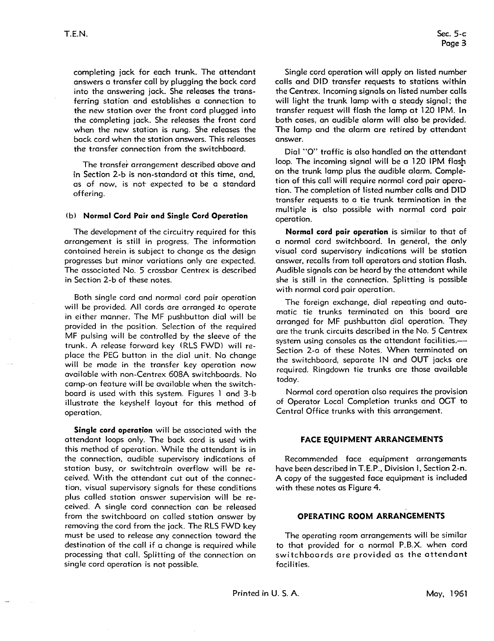completing jack for each trunk. The attendant answers a transfer call by plugging the back cord into the answering jack. She releases the transferring station and establishes a connection to the new station over the front cord plugged into the completing jack. She releases the front cord when the new station is rung. She releases the back cord when the station answers. This releases the transfer connection from the switchboard.

The transfer arrangement described above and in Section 2-b is non-standard at this time, and, as of now, is not expected to be a standard offering.

#### (b) **Normal Cord Pair and Single Cord Operation**

The development of the circuitry required for this arrangement is still in progress. The information contained herein is subject to change as the design progresses but minor variations only are expected. The associated No. 5 crossbar Centrex is described in Section 2-b of these notes.

Both single cord and normal cord pair operation will be provided. All cords are arranged to operate in either manner. The MF pushbutton dial will be provided in the position. Selection of the required MF pulsing will be controlled by the sleeve of the trunk. A release forward key (RLS FWD) will replace the PEG button in the dial unit. No change will be made in the transfer key operation now available with non-Centrex 608A switchboards. No camp-on feature will be available when the switchboard is used with this system. Figures l and 3-b illustrate the keyshelf layout for this method of operation.

**Single cord operation** will be associated with the attendant loops only. The back cord is used with this method of operation. While the attendant is in the connection, audible supervisory indications of station busy, or switchtrain overflow will be received. With the attendant cut out of the connection, visual supervisory signals for these conditions plus called station answer supervision will be received. A single cord connection can be released from the switchboard on called station answer by removing the cord from the jack. The RLS FWD key must be used to release any connection toward the destination of the call if a change is required while processing that call. Splitting of the connection on single cord operation is not possible.

Single cord operation will apply on listed number calls and DID transfer requests to stations within the Centrex. Incoming signals on listed number calls will light the trunk lamp with a steady signal; the transfer request will flash the lamp at 120 1PM. In both cases, an audible alarm will also be provided. The lamp and the alarm are retired by attendant answer.

Dial "O" traffic is also handled on the attendant loop. The incoming signal will be a 120 IPM flash on the trunk lamp plus the audible alarm. Completion of this call will require normal cord pair operation. The completion of listed number calls and DlD transfer requests to a tie trunk termination in the multiple is also possible with normal cord pair operation.

**Normal cord pair operation** is similar to that of a normal cord switchboard. In general, the only visual cord supervisory indications will be station answer, recalls from toll operators and station flash. Audible signals can be heard by the attendant **while**  she is still in the connection. Splitting is possible with normal cord pair operation.

The foreign exchange, dial repeating and automatic tie trunks terminated on this board are arranged for MF pushbutton dial operation. They are the trunk circuits described in the No. 5 Centrex system using consoles as the attendant facilities.-Section 2-a of these Notes. When terminated on the switchboard, separate IN and OUT jacks are required. Ringdown tie trunks are those available today.

Normal cord operation also requires the provision of Operator Local Completion trunks and OCT to Central Office trunks with this arrangement.

#### **FACE EQUIPMENT ARRANCEMENTS**

Recommended face equipment arrangements have been described in T.E.P., Division I, Section 2-n. A copy of the suggested face equipment is included with these notes as Figure 4.

#### **OPERATINC ROOM ARRANCEMENTS**

The operating room arrangements will be similar to that provided for a normal P.B.X. when cord switchboards are provided as the attendant facilities.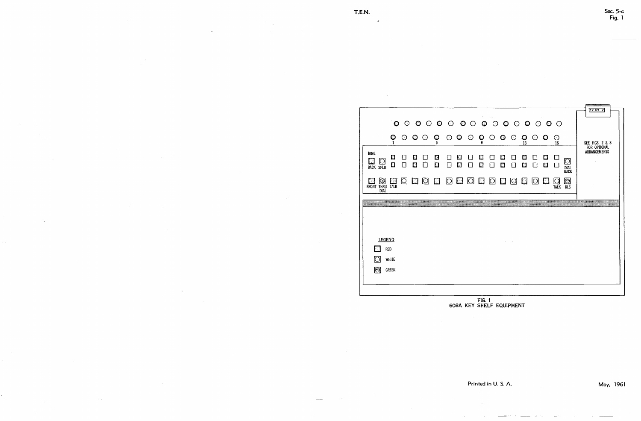|                                  | $\cdot$                    |                  |         |                   |                         |                 |         |         |                |               |         |                                        |                 |         |                |                   |                                        |
|----------------------------------|----------------------------|------------------|---------|-------------------|-------------------------|-----------------|---------|---------|----------------|---------------|---------|----------------------------------------|-----------------|---------|----------------|-------------------|----------------------------------------|
|                                  |                            |                  |         |                   |                         |                 |         |         |                |               |         |                                        |                 |         |                |                   |                                        |
|                                  |                            | $\frac{0}{1}$    | $\odot$ | $\bullet$ $\circ$ | $\frac{6}{5}$           | $\circ$ $\circ$ |         | $\odot$ | $\mathbf{Q}_9$ | $\odot$       | $\circ$ | $\bigcirc$                             | $\bullet$<br>13 | $\circ$ | $\circledcirc$ | O<br>16           |                                        |
| <b>RING</b><br><b>BACK SPLIT</b> | Q                          | E<br>$\Box$      |         | IJ<br>0           | В<br>囗                  | $\mathbf{1}$    | E.<br>囗 | П       | E<br>Ω         |               | M<br>D  |                                        | M<br>Ð          | τT      | U<br>$\Box$    |                   | $\mathbb{C}^*$<br><b>DIAL<br/>BACK</b> |
| <b>FRONT</b>                     | <b>THRU</b><br><b>DIAL</b> | ಿ<br><b>TALK</b> | $\Box$  | <b>N</b>          | $\circ \Box \circ \Box$ |                 |         |         |                | $\circ$ 0 0 0 |         | $\begin{array}{c} \square \end{array}$ |                 | O       | L 1            | ۱C<br><b>TALK</b> | Ö,<br><b>RLS</b>                       |
|                                  |                            |                  |         |                   |                         |                 |         |         |                |               |         |                                        |                 |         |                |                   |                                        |

|                           | <b>LEGEND</b> |
|---------------------------|---------------|
| $\Box$                    | <b>RED</b>    |
| $\hbox{\large\textsf{O}}$ | <b>WHITE</b>  |
| O                         | <b>GREEN</b>  |
|                           |               |
|                           |               |



#### FIG. t 608A KEY SHELF EQUIPMENT

Printed in U. S. A.

May, 1961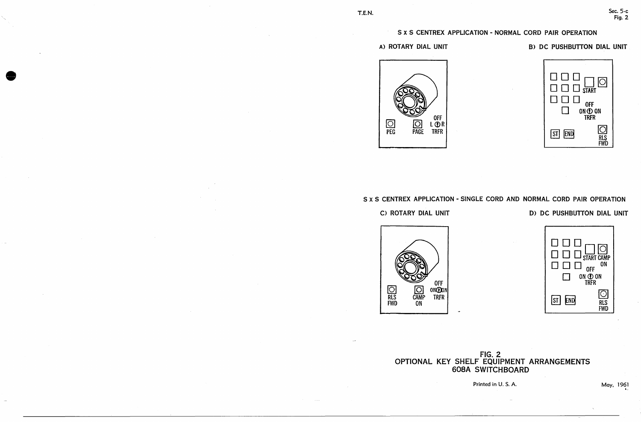## S x S CENTREX APPLICATION - NORMAL CORD PAIR OPERATION

### A) ROTARY DIAL UNIT



## C) ROTARY DIAL UNIT

## B) DC PUSHBUTTON DIAL UNIT



S x S CENTREX APPLICATION - SINGLE CORD AND NORMAL CORD PAIR OPERATION



## D> DC PUSHBUTTON DIAL UNIT



Printed in U.S.A. May, 1961

## FIG. 2 OPTIONAL KEY SHELF EQUIPMENT ARRANGEMENTS 608A SWITCHBOARD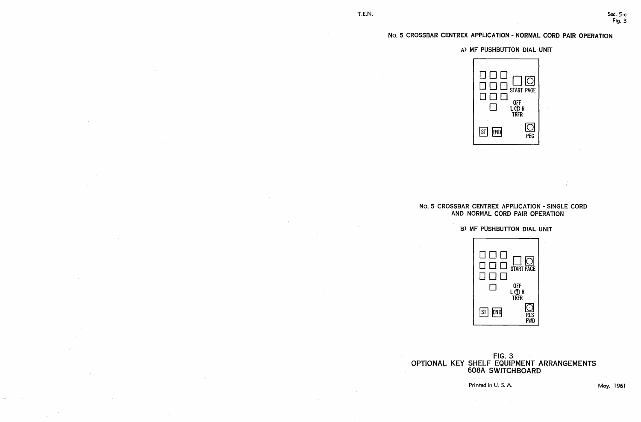## No. 5 CROSSBAR CENTREX APPLICATION - NORMAL CORD PAIR OPERATION

Printed in U.S.A. **May, 1961** 

## A) MF PUSHBUTTON DIAL UNIT



## No. 5 CROSSBAR CENTREX APPLICATION - SINGLE CORD AND NORMAL CORD PAIR OPERATION

## 8) MF PUSHBUTTON DIAL UNIT



## FIG. 3 OPTIONAL KEY SHELF EQUIPMENT ARRANGEMENTS 608A SWITCHBOARD